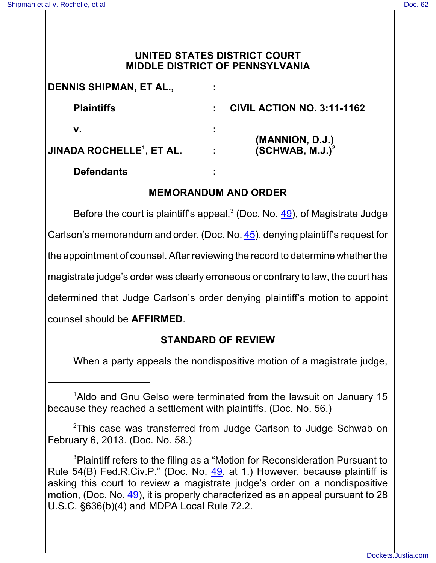## **UNITED STATES DISTRICT COURT MIDDLE DISTRICT OF PENNSYLVANIA**

| DENNIS SHIPMAN, ET AL.,                    | ٠                           |                                                |
|--------------------------------------------|-----------------------------|------------------------------------------------|
| <b>Plaintiffs</b>                          |                             | <b>CIVIL ACTION NO. 3:11-1162</b>              |
| v.                                         |                             |                                                |
| <b>JINADA ROCHELLE<sup>1</sup>, ET AL.</b> | $\mathcal{L}_{\mathcal{A}}$ | (MANNION, D.J.)<br>(SCHWAB, M.J.) <sup>2</sup> |
| Defendants                                 |                             |                                                |

## **MEMORANDUM AND ORDER**

Before the court is plaintiff's appeal, $3$  (Doc. No. [49](http://ecf.pamd.uscourts.gov/doc1/15503921767)), of Magistrate Judge Carlson's memorandum and order, (Doc. No. [45](http://ecf.pamd.uscourts.gov/doc1/15503912681)), denying plaintiff's request for the appointment of counsel. After reviewing the record to determine whether the magistrate judge's order was clearly erroneous or contrary to law, the court has determined that Judge Carlson's order denying plaintiff's motion to appoint counsel should be **AFFIRMED**.

## **STANDARD OF REVIEW**

When a party appeals the nondispositive motion of a magistrate judge,

<sup>&</sup>lt;sup>1</sup> Aldo and Gnu Gelso were terminated from the lawsuit on January 15 because they reached a settlement with plaintiffs. (Doc. No. 56.)

 $2$ This case was transferred from Judge Carlson to Judge Schwab on February 6, 2013. (Doc. No. 58.)

<sup>&</sup>lt;sup>3</sup> Plaintiff refers to the filing as a "Motion for Reconsideration Pursuant to Rule 54(B) Fed.R.Civ.P." (Doc. No. [49](http://ecf.pamd.uscourts.gov/doc1/15503921767), at 1.) However, because plaintiff is asking this court to review a magistrate judge's order on a nondispositive motion, (Doc. No. [49](http://ecf.pamd.uscourts.gov/doc1/15503921767)), it is properly characterized as an appeal pursuant to 28 U.S.C. §636(b)(4) and MDPA Local Rule 72.2.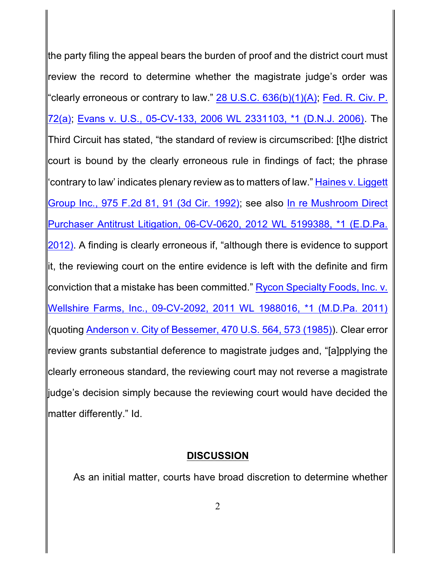the party filing the appeal bears the burden of proof and the district court must review the record to determine whether the magistrate judge's order was "clearly erroneous or contrary to law."  $28$  U.S.C.  $636(b)(1)(A)$ ; Fed. [R. Civ. P.](http://westlaw.com/find/default.wl?ft=L&docname=USFRCPR72&rs=btil2.0&rp=%2ffind%2fdefault.wl&fn=_top&findtype=L&vr=2.0&db=1000600&wbtoolsId=USFRCPR72&HistoryType=F) [72\(a\)](http://westlaw.com/find/default.wl?ft=L&docname=USFRCPR72&rs=btil2.0&rp=%2ffind%2fdefault.wl&fn=_top&findtype=L&vr=2.0&db=1000600&wbtoolsId=USFRCPR72&HistoryType=F); Evans [v. U.S., 05-CV-133, 2006](http://westlaw.com/find/default.wl?ft=Y&referencepositiontype=S&rs=btil2.0&rp=%2ffind%2fdefault.wl&serialnum=2009720824&fn=_top&referenceposition=1&findtype=Y&vr=2.0&db=0000999&wbtoolsId=2009720824&HistoryType=F) WL 2331103, \*1 (D.N.J. 2006). The Third Circuit has stated, "the standard of review is circumscribed: [t]he district court is bound by the clearly erroneous rule in findings of fact; the phrase 'contrary to law' indicates plenary review as to matters of law." Haines [v. Liggett](http://westlaw.com/find/default.wl?ft=Y&referencepositiontype=S&rs=btil2.0&rp=%2ffind%2fdefault.wl&serialnum=1992155690&fn=_top&referenceposition=91&findtype=Y&vr=2.0&db=0000350&wbtoolsId=1992155690&HistoryType=F) [Group Inc., 975 F.2d 81,](http://westlaw.com/find/default.wl?ft=Y&referencepositiontype=S&rs=btil2.0&rp=%2ffind%2fdefault.wl&serialnum=1992155690&fn=_top&referenceposition=91&findtype=Y&vr=2.0&db=0000350&wbtoolsId=1992155690&HistoryType=F) 91 (3d Cir. 1992); see also In [re Mushroom Direct](http://westlaw.com/find/default.wl?ft=Y&referencepositiontype=S&rs=btil2.0&rp=%2ffind%2fdefault.wl&serialnum=2028939200&fn=_top&referenceposition=1&findtype=Y&vr=2.0&db=0000999&wbtoolsId=2028939200&HistoryType=F) [Purchaser Antitrust Litigation,](http://westlaw.com/find/default.wl?ft=Y&referencepositiontype=S&rs=btil2.0&rp=%2ffind%2fdefault.wl&serialnum=2028939200&fn=_top&referenceposition=1&findtype=Y&vr=2.0&db=0000999&wbtoolsId=2028939200&HistoryType=F) 06-CV-0620, 2012 WL 5199388, \*1 (E.D.Pa. [2012\)](http://westlaw.com/find/default.wl?ft=Y&referencepositiontype=S&rs=btil2.0&rp=%2ffind%2fdefault.wl&serialnum=2028939200&fn=_top&referenceposition=1&findtype=Y&vr=2.0&db=0000999&wbtoolsId=2028939200&HistoryType=F). A finding is clearly erroneous if, "although there is evidence to support it, the reviewing court on the entire evidence is left with the definite and firm conviction that a mistake has been committed." [Rycon Specialty](http://westlaw.com/find/default.wl?ft=Y&referencepositiontype=S&rs=btil2.0&rp=%2ffind%2fdefault.wl&serialnum=2025338319&fn=_top&referenceposition=1&findtype=Y&vr=2.0&db=0000999&wbtoolsId=2025338319&HistoryType=F) Foods, Inc. v. [Wellshire Farms, Inc., 09-CV-2092,](http://westlaw.com/find/default.wl?ft=Y&referencepositiontype=S&rs=btil2.0&rp=%2ffind%2fdefault.wl&serialnum=2025338319&fn=_top&referenceposition=1&findtype=Y&vr=2.0&db=0000999&wbtoolsId=2025338319&HistoryType=F) 2011 WL 1988016, \*1 (M.D.Pa. 2011) (quoting [Anderson v. City of](http://westlaw.com/find/default.wl?ft=Y&referencepositiontype=S&rs=btil2.0&rp=%2ffind%2fdefault.wl&serialnum=1985114055&fn=_top&referenceposition=573&findtype=Y&vr=2.0&db=0000780&wbtoolsId=1985114055&HistoryType=F) Bessemer, 470 U.S. 564, 573 (1985)). Clear error review grants substantial deference to magistrate judges and, "[a]pplying the clearly erroneous standard, the reviewing court may not reverse a magistrate judge's decision simply because the reviewing court would have decided the matter differently." Id.

## **DISCUSSION**

As an initial matter, courts have broad discretion to determine whether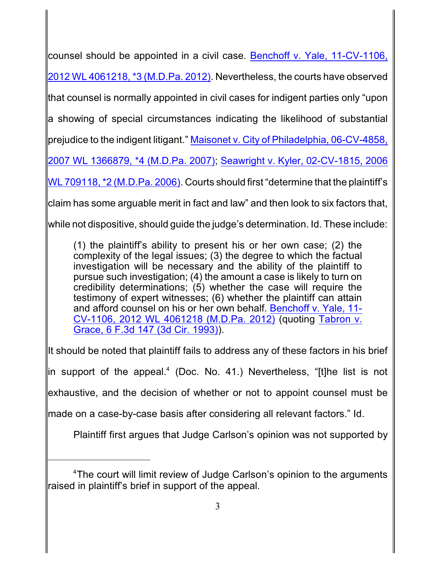counsel should be appointed in a civil case. [Benchoff v. Yale, 11-CV-1106,](http://westlaw.com/find/default.wl?ft=Y&referencepositiontype=S&rs=btil2.0&rp=%2ffind%2fdefault.wl&serialnum=2028627674&fn=_top&referenceposition=3&findtype=Y&vr=2.0&db=0000999&wbtoolsId=2028627674&HistoryType=F)

2012 [WL 4061218,](http://westlaw.com/find/default.wl?ft=Y&referencepositiontype=S&rs=btil2.0&rp=%2ffind%2fdefault.wl&serialnum=2028627674&fn=_top&referenceposition=3&findtype=Y&vr=2.0&db=0000999&wbtoolsId=2028627674&HistoryType=F) \*3 (M.D.Pa. 2012). Nevertheless, the courts have observed

that counsel is normally appointed in civil cases for indigent parties only "upon

a showing of special circumstances indicating the likelihood of substantial

prejudice to the indigent litigant." Maisonet v. City of [Philadelphia,](http://westlaw.com/find/default.wl?ft=Y&referencepositiontype=S&rs=btil2.0&rp=%2ffind%2fdefault.wl&serialnum=2012214979&fn=_top&referenceposition=4&findtype=Y&vr=2.0&db=0000999&wbtoolsId=2012214979&HistoryType=F) 06-CV-4858,

[2007 WL 1366879, \\*4 \(M.D.Pa. 2007\)](http://westlaw.com/find/default.wl?ft=Y&referencepositiontype=S&rs=btil2.0&rp=%2ffind%2fdefault.wl&serialnum=2012214979&fn=_top&referenceposition=4&findtype=Y&vr=2.0&db=0000999&wbtoolsId=2012214979&HistoryType=F); [Seawright v. Kyler, 02-CV-1815, 2006](http://westlaw.com/find/default.wl?ft=Y&referencepositiontype=S&rs=btil2.0&rp=%2ffind%2fdefault.wl&serialnum=2008733449&fn=_top&referenceposition=2&findtype=Y&vr=2.0&db=0000999&wbtoolsId=2008733449&HistoryType=F)

WL 709118, \*2 (M.D.Pa. 2006). Courts should first "determine that the plaintiff's

claim has some arguable merit in fact and law" and then look to six factors that,

while not dispositive, should guide the judge's determination. Id. These include:

(1) the plaintiff's ability to present his or her own case; (2) the complexity of the legal issues; (3) the degree to which the factual investigation will be necessary and the ability of the plaintiff to pursue such investigation; (4) the amount a case is likely to turn on credibility determinations; (5) whether the case will require the testimony of expert witnesses; (6) whether the plaintiff can attain and afford counsel on his or her own behalf. [Benchoff v. Yale,](http://westlaw.com/find/default.wl?ft=Y&referencepositiontype=S&rs=btil2.0&rp=%2ffind%2fdefault.wl&serialnum=2028627674&fn=_top&referenceposition=3&findtype=Y&vr=2.0&db=0000999&wbtoolsId=2028627674&HistoryType=F) 11- CV-1106, 2012 [WL 4061218 \(M.D.Pa.](http://westlaw.com/find/default.wl?ft=Y&referencepositiontype=S&rs=btil2.0&rp=%2ffind%2fdefault.wl&serialnum=2028627674&fn=_top&referenceposition=3&findtype=Y&vr=2.0&db=0000999&wbtoolsId=2028627674&HistoryType=F) 2012) (quoting [Tabron](http://westlaw.com/find/default.wl?ft=Y&db=0000506&rs=btil2.0&rp=%2ffind%2fdefault.wl&serialnum=1993191107&fn=_top&findtype=Y&vr=2.0&wbtoolsId=1993191107&HistoryType=F) v. [Grace, 6 F.3d 147 \(3d Cir. 1993\)](http://westlaw.com/find/default.wl?ft=Y&db=0000506&rs=btil2.0&rp=%2ffind%2fdefault.wl&serialnum=1993191107&fn=_top&findtype=Y&vr=2.0&wbtoolsId=1993191107&HistoryType=F)).

It should be noted that plaintiff fails to address any of these factors in his brief

in support of the appeal.<sup>4</sup> (Doc. No. 41.) Nevertheless, "[t]he list is not

exhaustive, and the decision of whether or not to appoint counsel must be

made on a case-by-case basis after considering all relevant factors." Id.

Plaintiff first argues that Judge Carlson's opinion was not supported by

<sup>&</sup>lt;sup>4</sup>The court will limit review of Judge Carlson's opinion to the arguments raised in plaintiff's brief in support of the appeal.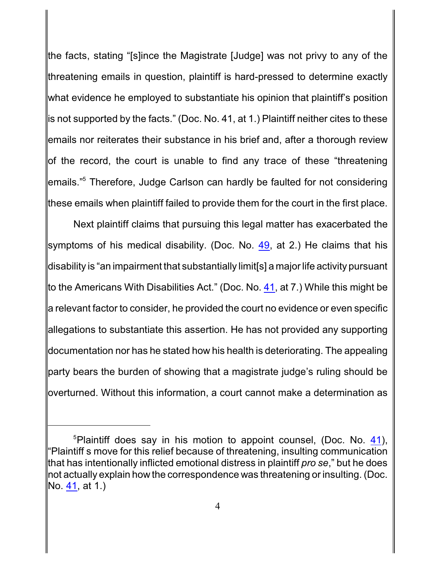the facts, stating "[s]ince the Magistrate [Judge] was not privy to any of the threatening emails in question, plaintiff is hard-pressed to determine exactly what evidence he employed to substantiate his opinion that plaintiff's position is not supported by the facts." (Doc. No. 41, at 1.) Plaintiff neither cites to these emails nor reiterates their substance in his brief and, after a thorough review of the record, the court is unable to find any trace of these "threatening emails."<sup>5</sup> Therefore, Judge Carlson can hardly be faulted for not considering these emails when plaintiff failed to provide them for the court in the first place.

Next plaintiff claims that pursuing this legal matter has exacerbated the symptoms of his medical disability. (Doc. No. [49](http://ecf.pamd.uscourts.gov/doc1/15503921767), at 2.) He claims that his disability is "an impairment that substantially limit[s] a major life activity pursuant to the Americans With Disabilities Act." (Doc. No. [41](http://ecf.pamd.uscourts.gov/doc1/15503897950), at 7.) While this might be a relevant factor to consider, he provided the court no evidence or even specific allegations to substantiate this assertion. He has not provided any supporting documentation nor has he stated how his health is deteriorating. The appealing party bears the burden of showing that a magistrate judge's ruling should be overturned. Without this information, a court cannot make a determination as

<sup>&</sup>lt;sup>5</sup>Plaintiff does say in his motion to appoint counsel, (Doc. No. [41](http://ecf.pamd.uscourts.gov/doc1/15503897950)), "Plaintiff s move for this relief because of threatening, insulting communication that has intentionally inflicted emotional distress in plaintiff *pro se*," but he does not actually explain how the correspondence was threatening or insulting. (Doc. No. [41](http://ecf.pamd.uscourts.gov/doc1/15503897950), at 1.)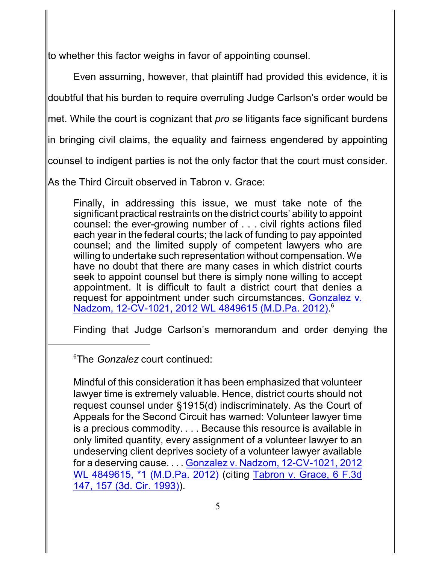to whether this factor weighs in favor of appointing counsel.

Even assuming, however, that plaintiff had provided this evidence, it is

doubtful that his burden to require overruling Judge Carlson's order would be

met. While the court is cognizant that *pro se* litigants face significant burdens

in bringing civil claims, the equality and fairness engendered by appointing

counsel to indigent parties is not the only factor that the court must consider.

As the Third Circuit observed in Tabron v. Grace:

Finally, in addressing this issue, we must take note of the significant practical restraints on the district courts' ability to appoint counsel: the ever-growing number of . . . civil rights actions filed each year in the federal courts; the lack of funding to pay appointed counsel; and the limited supply of competent lawyers who are willing to undertake such representation without compensation. We have no doubt that there are many cases in which district courts seek to appoint counsel but there is simply none willing to accept appointment. It is difficult to fault a district court that denies a request for appointment under such circumstances. [Gonzalez](http://westlaw.com/find/default.wl?ft=Y&db=0000999&rs=btil2.0&rp=%2ffind%2fdefault.wl&serialnum=2028857521&fn=_top&findtype=Y&vr=2.0&wbtoolsId=2028857521&HistoryType=F) v. [Nadzom, 12-CV-1021, 2012 WL 4849615 \(M.D.Pa. 2012\)](http://westlaw.com/find/default.wl?ft=Y&db=0000999&rs=btil2.0&rp=%2ffind%2fdefault.wl&serialnum=2028857521&fn=_top&findtype=Y&vr=2.0&wbtoolsId=2028857521&HistoryType=F). 6

Finding that Judge Carlson's memorandum and order denying the

The *Gonzalez* court continued: 6

Mindful of this consideration it has been emphasized that volunteer lawyer time is extremely valuable. Hence, district courts should not request counsel under §1915(d) indiscriminately. As the Court of Appeals for the Second Circuit has warned: Volunteer lawyer time is a precious commodity. . . . Because this resource is available in only limited quantity, every assignment of a volunteer lawyer to an undeserving client deprives society of a volunteer lawyer available for a deserving cause. . . . Gonzalez [v. Nadzom, 12-CV-1021,](http://westlaw.com/find/default.wl?ft=Y&db=0000999&rs=btil2.0&rp=%2ffind%2fdefault.wl&serialnum=2028857521&fn=_top&findtype=Y&vr=2.0&wbtoolsId=2028857521&HistoryType=F) 2012 [WL 4849615,](http://westlaw.com/find/default.wl?ft=Y&db=0000999&rs=btil2.0&rp=%2ffind%2fdefault.wl&serialnum=2028857521&fn=_top&findtype=Y&vr=2.0&wbtoolsId=2028857521&HistoryType=F) \*1 (M.D.Pa. 2012) (citing Tabron [v. Grace,](http://westlaw.com/find/default.wl?ft=Y&db=0000506&rs=btil2.0&rp=%2ffind%2fdefault.wl&serialnum=1993191107&fn=_top&findtype=Y&vr=2.0&wbtoolsId=1993191107&HistoryType=F) 6 F.3d [147, 157 \(3d. Cir. 1993\)](http://westlaw.com/find/default.wl?ft=Y&db=0000506&rs=btil2.0&rp=%2ffind%2fdefault.wl&serialnum=1993191107&fn=_top&findtype=Y&vr=2.0&wbtoolsId=1993191107&HistoryType=F)).